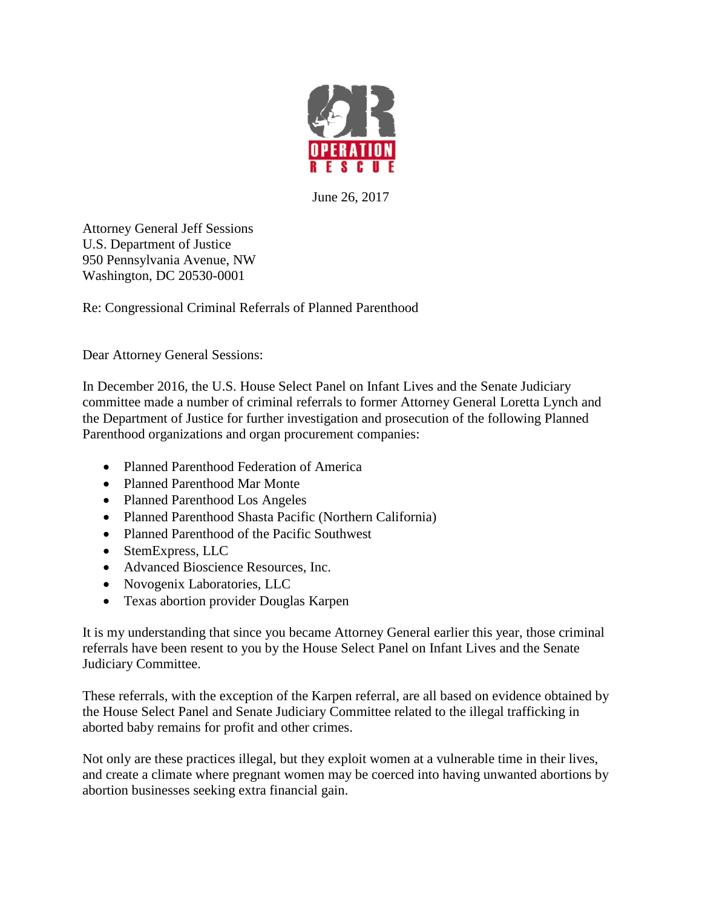

June 26, 2017

Attorney General Jeff Sessions U.S. Department of Justice 950 Pennsylvania Avenue, NW Washington, DC 20530-0001

Re: Congressional Criminal Referrals of Planned Parenthood

Dear Attorney General Sessions:

In December 2016, the U.S. House Select Panel on Infant Lives and the Senate Judiciary committee made a number of criminal referrals to former Attorney General Loretta Lynch and the Department of Justice for further investigation and prosecution of the following Planned Parenthood organizations and organ procurement companies:

- Planned Parenthood Federation of America
- Planned Parenthood Mar Monte
- Planned Parenthood Los Angeles
- Planned Parenthood Shasta Pacific (Northern California)
- Planned Parenthood of the Pacific Southwest
- StemExpress, LLC
- Advanced Bioscience Resources, Inc.
- Novogenix Laboratories, LLC
- Texas abortion provider Douglas Karpen

It is my understanding that since you became Attorney General earlier this year, those criminal referrals have been resent to you by the House Select Panel on Infant Lives and the Senate Judiciary Committee.

These referrals, with the exception of the Karpen referral, are all based on evidence obtained by the House Select Panel and Senate Judiciary Committee related to the illegal trafficking in aborted baby remains for profit and other crimes.

Not only are these practices illegal, but they exploit women at a vulnerable time in their lives, and create a climate where pregnant women may be coerced into having unwanted abortions by abortion businesses seeking extra financial gain.